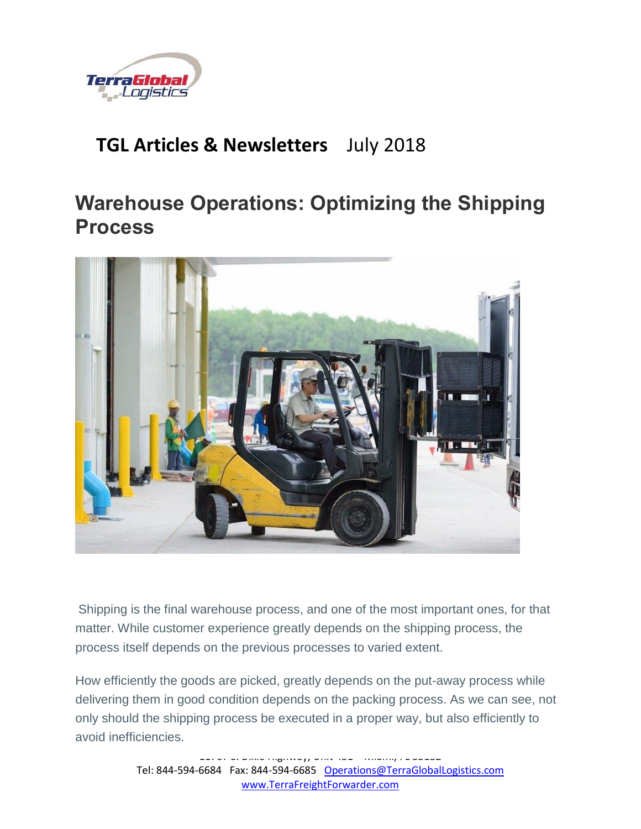

## **TGL Articles & Newsletters** July 2018

# **Warehouse Operations: Optimizing the Shipping Process**



Shipping is the final warehouse process, and one of the most important ones, for that matter. While customer experience greatly depends on the shipping process, the process itself depends on the previous processes to varied extent.

How efficiently the goods are picked, greatly depends on the put-away process while delivering them in good condition depends on the packing process. As we can see, not only should the shipping process be executed in a proper way, but also efficiently to avoid inefficiencies.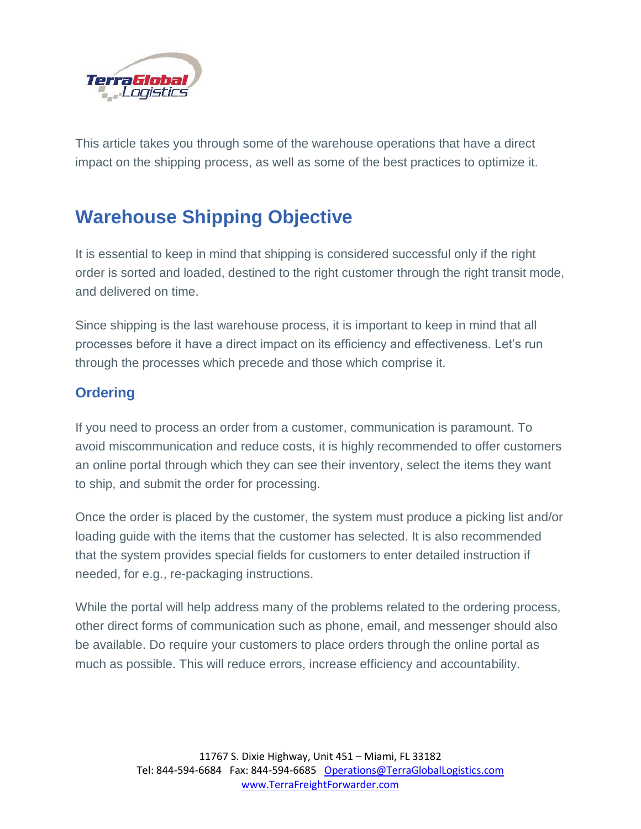

This article takes you through some of the warehouse operations that have a direct impact on the shipping process, as well as some of the best practices to optimize it.

# **Warehouse Shipping Objective**

It is essential to keep in mind that shipping is considered successful only if the right order is sorted and loaded, destined to the right customer through the right transit mode, and delivered on time.

Since shipping is the last warehouse process, it is important to keep in mind that all processes before it have a direct impact on its efficiency and effectiveness. Let's run through the processes which precede and those which comprise it.

## **Ordering**

If you need to process an order from a customer, communication is paramount. To avoid miscommunication and reduce costs, it is highly recommended to offer customers an online portal through which they can see their inventory, select the items they want to ship, and submit the order for processing.

Once the order is placed by the customer, the system must produce a picking list and/or loading guide with the items that the customer has selected. It is also recommended that the system provides special fields for customers to enter detailed instruction if needed, for e.g., re-packaging instructions.

While the portal will help address many of the problems related to the ordering process, other direct forms of communication such as phone, email, and messenger should also be available. Do require your customers to place orders through the online portal as much as possible. This will reduce errors, increase efficiency and accountability.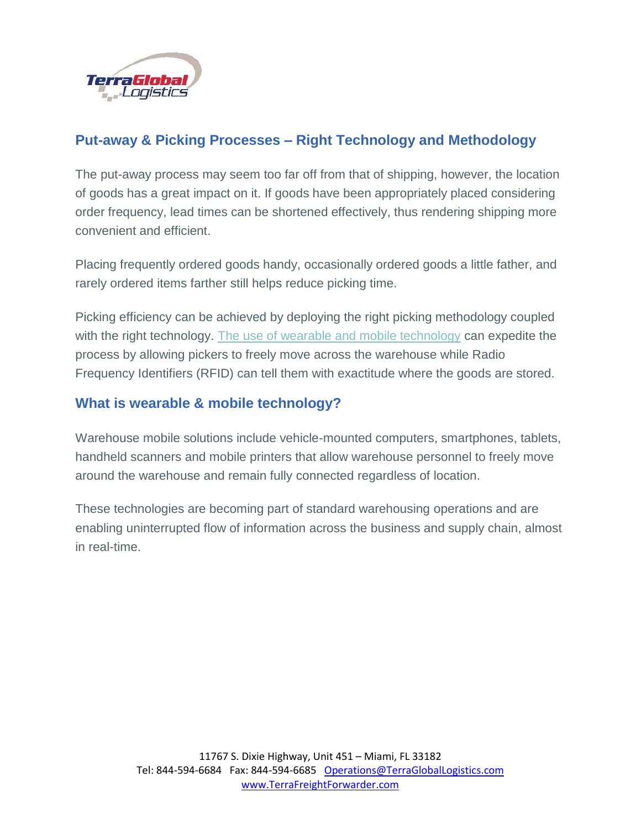

## **Put-away & Picking Processes – Right Technology and Methodology**

The put-away process may seem too far off from that of shipping, however, the location of goods has a great impact on it. If goods have been appropriately placed considering order frequency, lead times can be shortened effectively, thus rendering shipping more convenient and efficient.

Placing frequently ordered goods handy, occasionally ordered goods a little father, and rarely ordered items farther still helps reduce picking time.

Picking efficiency can be achieved by deploying the right picking methodology coupled with the right technology. [The use of wearable and mobile technology](https://articles.cyzerg.com/ready-for-mobility-solutions-wearable-warehouse-technology) can expedite the process by allowing pickers to freely move across the warehouse while Radio Frequency Identifiers (RFID) can tell them with exactitude where the goods are stored.

### **What is wearable & mobile technology?**

Warehouse mobile solutions include vehicle-mounted computers, smartphones, tablets, handheld scanners and mobile printers that allow warehouse personnel to freely move around the warehouse and remain fully connected regardless of location.

These technologies are becoming part of standard warehousing operations and are enabling uninterrupted flow of information across the business and supply chain, almost in real-time.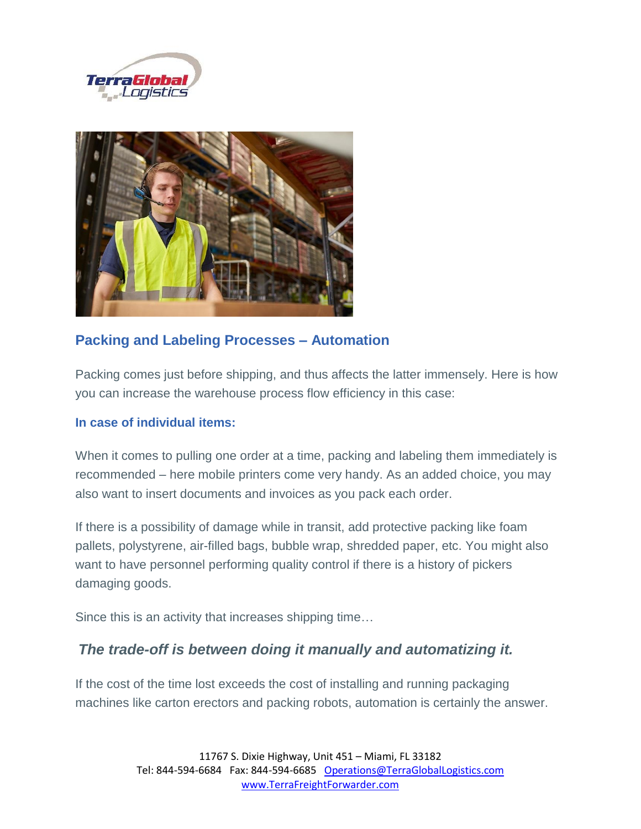



## **Packing and Labeling Processes – Automation**

Packing comes just before shipping, and thus affects the latter immensely. Here is how you can increase the warehouse process flow efficiency in this case:

#### **In case of individual items:**

When it comes to pulling one order at a time, packing and labeling them immediately is recommended – here mobile printers come very handy. As an added choice, you may also want to insert documents and invoices as you pack each order.

If there is a possibility of damage while in transit, add protective packing like foam pallets, polystyrene, air-filled bags, bubble wrap, shredded paper, etc. You might also want to have personnel performing quality control if there is a history of pickers damaging goods.

Since this is an activity that increases shipping time…

## *The trade-off is between doing it manually and automatizing it.*

If the cost of the time lost exceeds the cost of installing and running packaging machines like carton erectors and packing robots, automation is certainly the answer.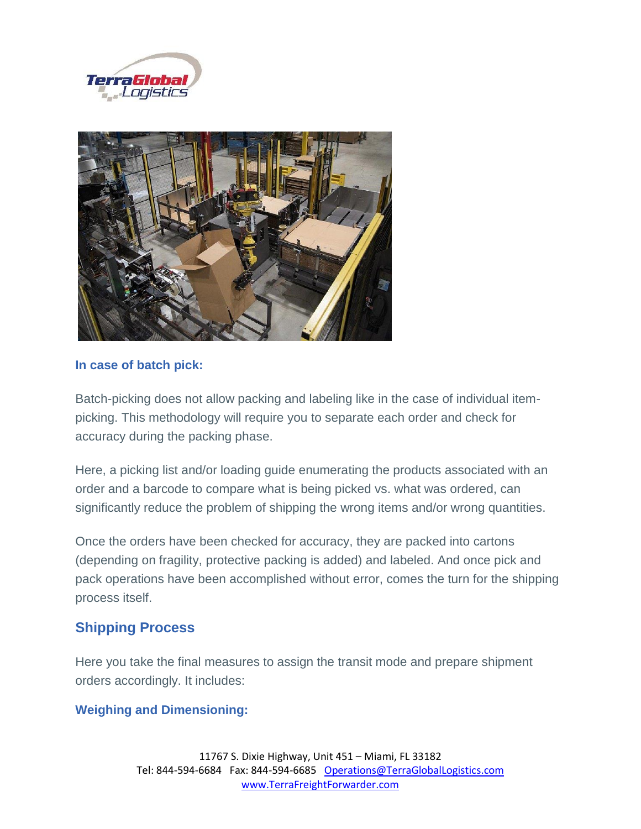



#### **In case of batch pick:**

Batch-picking does not allow packing and labeling like in the case of individual itempicking. This methodology will require you to separate each order and check for accuracy during the packing phase.

Here, a picking list and/or loading guide enumerating the products associated with an order and a barcode to compare what is being picked vs. what was ordered, can significantly reduce the problem of shipping the wrong items and/or wrong quantities.

Once the orders have been checked for accuracy, they are packed into cartons (depending on fragility, protective packing is added) and labeled. And once pick and pack operations have been accomplished without error, comes the turn for the shipping process itself.

### **Shipping Process**

Here you take the final measures to assign the transit mode and prepare shipment orders accordingly. It includes:

#### **Weighing and Dimensioning:**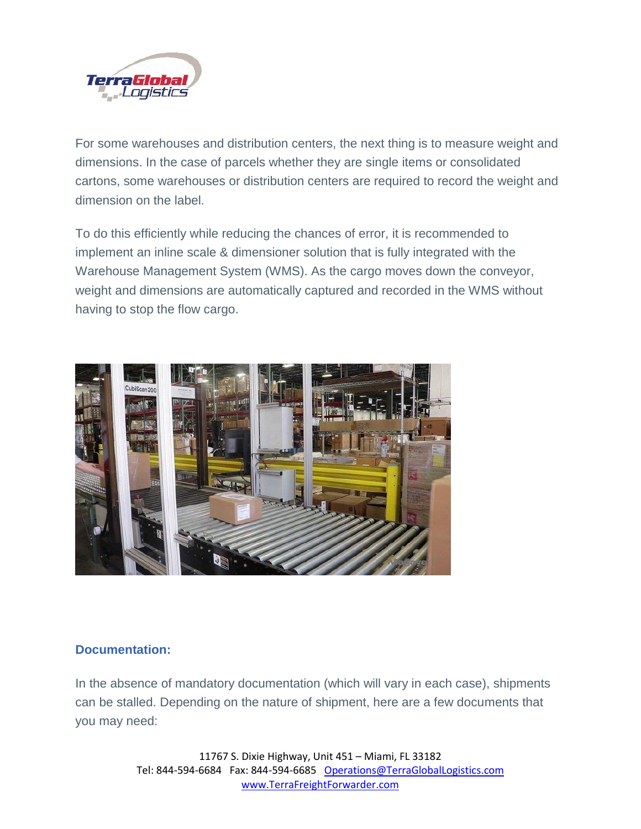

For some warehouses and distribution centers, the next thing is to measure weight and dimensions. In the case of parcels whether they are single items or consolidated cartons, some warehouses or distribution centers are required to record the weight and dimension on the label.

To do this efficiently while reducing the chances of error, it is recommended to implement an inline scale & dimensioner solution that is fully integrated with the Warehouse Management System (WMS). As the cargo moves down the conveyor, weight and dimensions are automatically captured and recorded in the WMS without having to stop the flow cargo.



#### **Documentation:**

In the absence of mandatory documentation (which will vary in each case), shipments can be stalled. Depending on the nature of shipment, here are a few documents that you may need:

> 11767 S. Dixie Highway, Unit 451 – Miami, FL 33182 Tel: 844-594-6684 Fax: 844-594-6685 [Operations@TerraGlobalLogistics.com](mailto:Operations@TerraGlobalLogistics.com) [www.TerraFreightForwarder.com](http://www.terrafreightforwarder.com/)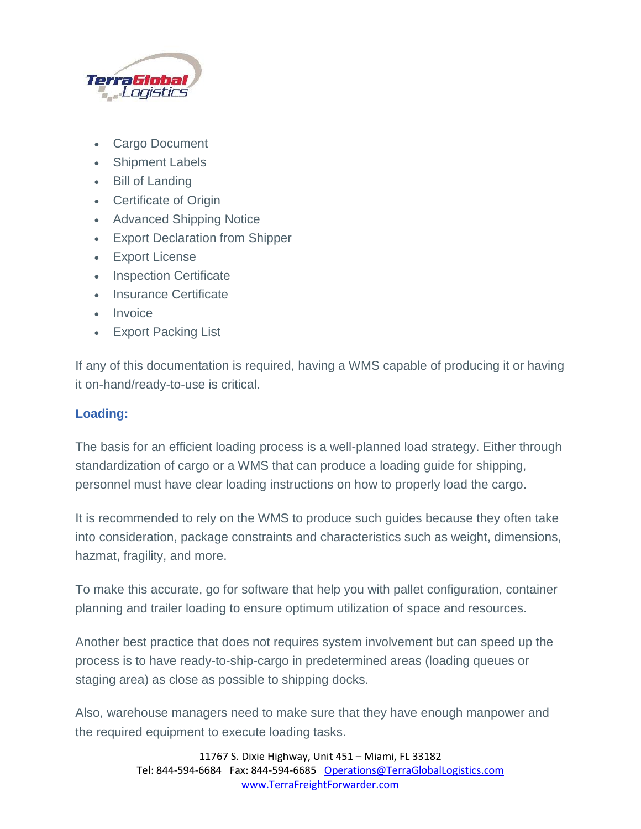

- Cargo Document
- Shipment Labels
- Bill of Landing
- Certificate of Origin
- Advanced Shipping Notice
- Export Declaration from Shipper
- Export License
- Inspection Certificate
- Insurance Certificate
- Invoice
- Export Packing List

If any of this documentation is required, having a WMS capable of producing it or having it on-hand/ready-to-use is critical.

#### **Loading:**

The basis for an efficient loading process is a well-planned load strategy. Either through standardization of cargo or a WMS that can produce a loading guide for shipping, personnel must have clear loading instructions on how to properly load the cargo.

It is recommended to rely on the WMS to produce such guides because they often take into consideration, package constraints and characteristics such as weight, dimensions, hazmat, fragility, and more.

To make this accurate, go for software that help you with pallet configuration, container planning and trailer loading to ensure optimum utilization of space and resources.

Another best practice that does not requires system involvement but can speed up the process is to have ready-to-ship-cargo in predetermined areas (loading queues or staging area) as close as possible to shipping docks.

Also, warehouse managers need to make sure that they have enough manpower and the required equipment to execute loading tasks.